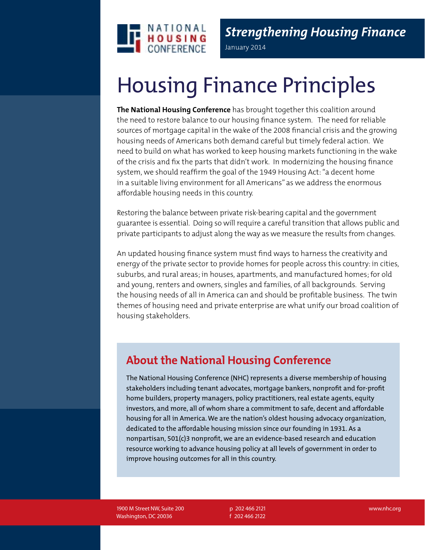

*Strengthening Housing Finance* January 2014

# Housing Finance Principles

**The National Housing Conference** has brought together this coalition around the need to restore balance to our housing finance system. The need for reliable sources of mortgage capital in the wake of the 2008 financial crisis and the growing housing needs of Americans both demand careful but timely federal action. We need to build on what has worked to keep housing markets functioning in the wake of the crisis and fix the parts that didn't work. In modernizing the housing finance system, we should reaffirm the goal of the 1949 Housing Act: "a decent home in a suitable living environment for all Americans" as we address the enormous affordable housing needs in this country.

Restoring the balance between private risk-bearing capital and the government guarantee is essential. Doing so will require a careful transition that allows public and private participants to adjust along the way as we measure the results from changes.

An updated housing finance system must find ways to harness the creativity and energy of the private sector to provide homes for people across this country: in cities, suburbs, and rural areas; in houses, apartments, and manufactured homes; for old and young, renters and owners, singles and families, of all backgrounds. Serving the housing needs of all in America can and should be profitable business. The twin themes of housing need and private enterprise are what unify our broad coalition of housing stakeholders.

## **About the National Housing Conference**

The National Housing Conference (NHC) represents a diverse membership of housing stakeholders including tenant advocates, mortgage bankers, nonprofit and for-profit home builders, property managers, policy practitioners, real estate agents, equity investors, and more, all of whom share a commitment to safe, decent and affordable housing for all in America. We are the nation's oldest housing advocacy organization, dedicated to the affordable housing mission since our founding in 1931. As a nonpartisan, 501(c)3 nonprofit, we are an evidence-based research and education resource working to advance housing policy at all levels of government in order to improve housing outcomes for all in this country.

1900 M Street NW, Suite 200 Washington, DC 20036

p 202 466 2121 f 202 466 2122